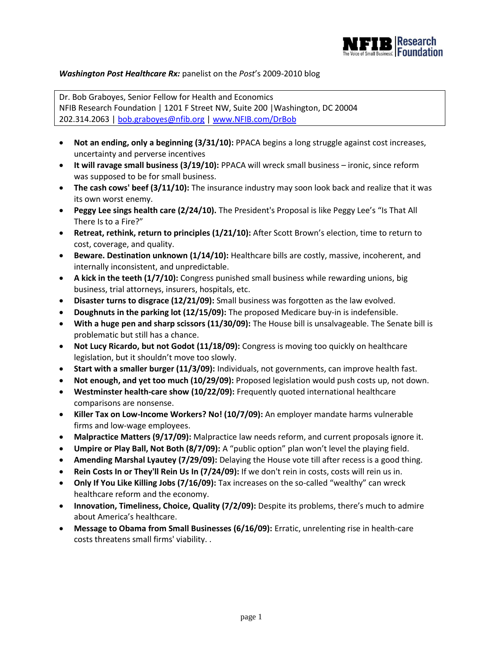

#### *Washington Post Healthcare Rx:* panelist on the *Post*'s 2009-2010 blog

Dr. Bob Graboyes, Senior Fellow for Health and Economics NFIB Research Foundation | 1201 F Street NW, Suite 200 |Washington, DC 20004 202.314.2063 | [bob.graboyes@nfib.org](mailto:bob.graboyes@nfib.org) | [www.NFIB.com/DrBob](http://www.nfib.com/DrBob)

- **Not an ending, only a beginning (3/31/10):** PPACA begins a long struggle against cost increases, uncertainty and perverse incentives
- **It will ravage small business (3/19/10):** PPACA will wreck small business ironic, since reform was supposed to be for small business.
- **The cash cows' beef (3/11/10):** The insurance industry may soon look back and realize that it was its own worst enemy.
- **Peggy Lee sings health care (2/24/10).** The President's Proposal is like Peggy Lee's "Is That All There Is to a Fire?"
- **Retreat, rethink, return to principles (1/21/10):** After Scott Brown's election, time to return to cost, coverage, and quality.
- **Beware. Destination unknown (1/14/10):** Healthcare bills are costly, massive, incoherent, and internally inconsistent, and unpredictable.
- **A kick in the teeth (1/7/10):** Congress punished small business while rewarding unions, big business, trial attorneys, insurers, hospitals, etc.
- **Disaster turns to disgrace (12/21/09):** Small business was forgotten as the law evolved.
- **Doughnuts in the parking lot (12/15/09):** The proposed Medicare buy-in is indefensible.
- **With a huge pen and sharp scissors (11/30/09):** The House bill is unsalvageable. The Senate bill is problematic but still has a chance.
- **Not Lucy Ricardo, but not Godot (11/18/09):** Congress is moving too quickly on healthcare legislation, but it shouldn't move too slowly.
- **Start with a smaller burger (11/3/09):** Individuals, not governments, can improve health fast.
- **Not enough, and yet too much (10/29/09):** Proposed legislation would push costs up, not down.
- **Westminster health-care show (10/22/09):** Frequently quoted international healthcare comparisons are nonsense.
- **Killer Tax on Low-Income Workers? No! (10/7/09):** An employer mandate harms vulnerable firms and low-wage employees.
- **Malpractice Matters (9/17/09):** Malpractice law needs reform, and current proposals ignore it.
- **Umpire or Play Ball, Not Both (8/7/09):** A "public option" plan won't level the playing field.
- **Amending Marshal Lyautey (7/29/09):** Delaying the House vote till after recess is a good thing.
- **Rein Costs In or They'll Rein Us In (7/24/09):** If we don't rein in costs, costs will rein us in.
- **Only If You Like Killing Jobs (7/16/09):** Tax increases on the so-called "wealthy" can wreck healthcare reform and the economy.
- **Innovation, Timeliness, Choice, Quality (7/2/09):** Despite its problems, there's much to admire about America's healthcare.
- **Message to Obama from Small Businesses (6/16/09):** Erratic, unrelenting rise in health-care costs threatens small firms' viability. .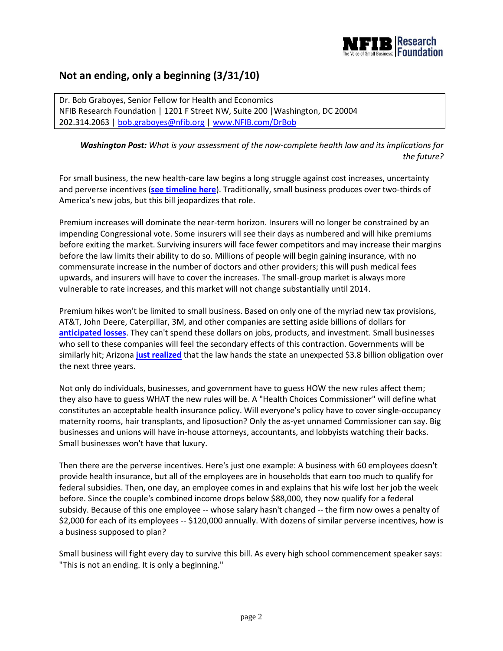

## **Not an ending, only a beginning (3/31/10)**

Dr. Bob Graboyes, Senior Fellow for Health and Economics NFIB Research Foundation | 1201 F Street NW, Suite 200 |Washington, DC 20004 202.314.2063 | [bob.graboyes@nfib.org](mailto:bob.graboyes@nfib.org) | [www.NFIB.com/DrBob](http://www.nfib.com/DrBob)

*Washington Post: What is your assessment of the now-complete health law and its implications for the future?*

For small business, the new health-care law begins a long struggle against cost increases, uncertainty and perverse incentives (**[see timeline here](http://www.nfib.com/tabid/565/Default.aspx?cmsid=51105)**). Traditionally, small business produces over two-thirds of America's new jobs, but this bill jeopardizes that role.

Premium increases will dominate the near-term horizon. Insurers will no longer be constrained by an impending Congressional vote. Some insurers will see their days as numbered and will hike premiums before exiting the market. Surviving insurers will face fewer competitors and may increase their margins before the law limits their ability to do so. Millions of people will begin gaining insurance, with no commensurate increase in the number of doctors and other providers; this will push medical fees upwards, and insurers will have to cover the increases. The small-group market is always more vulnerable to rate increases, and this market will not change substantially until 2014.

Premium hikes won't be limited to small business. Based on only one of the myriad new tax provisions, AT&T, John Deere, Caterpillar, 3M, and other companies are setting aside billions of dollars for **[anticipated losses](http://online.wsj.com/article/SB10001424052748704100604575146002445136066.html?mod=WSJ_hpp_sections_opinion)**. They can't spend these dollars on jobs, products, and investment. Small businesses who sell to these companies will feel the secondary effects of this contraction. Governments will be similarly hit; Arizona **[just realized](http://www.nytimes.com/aponline/2010/03/30/business/AP-US-Health-Overhaul-Arizona.html)** that the law hands the state an unexpected \$3.8 billion obligation over the next three years.

Not only do individuals, businesses, and government have to guess HOW the new rules affect them; they also have to guess WHAT the new rules will be. A "Health Choices Commissioner" will define what constitutes an acceptable health insurance policy. Will everyone's policy have to cover single-occupancy maternity rooms, hair transplants, and liposuction? Only the as-yet unnamed Commissioner can say. Big businesses and unions will have in-house attorneys, accountants, and lobbyists watching their backs. Small businesses won't have that luxury.

Then there are the perverse incentives. Here's just one example: A business with 60 employees doesn't provide health insurance, but all of the employees are in households that earn too much to qualify for federal subsidies. Then, one day, an employee comes in and explains that his wife lost her job the week before. Since the couple's combined income drops below \$88,000, they now qualify for a federal subsidy. Because of this one employee -- whose salary hasn't changed -- the firm now owes a penalty of \$2,000 for each of its employees -- \$120,000 annually. With dozens of similar perverse incentives, how is a business supposed to plan?

Small business will fight every day to survive this bill. As every high school commencement speaker says: "This is not an ending. It is only a beginning."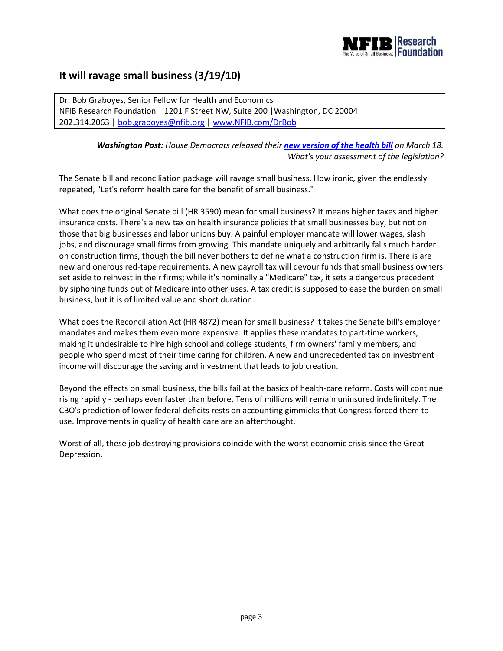

## **It will ravage small business (3/19/10)**

Dr. Bob Graboyes, Senior Fellow for Health and Economics NFIB Research Foundation | 1201 F Street NW, Suite 200 |Washington, DC 20004 202.314.2063 | [bob.graboyes@nfib.org](mailto:bob.graboyes@nfib.org) | [www.NFIB.com/DrBob](http://www.nfib.com/DrBob)

> *Washington Post: House Democrats released their [new version of the health bill](http://www.washingtonpost.com/wp-dyn/content/article/2010/03/18/AR2010031801153.html?hpid=topnews) on March 18. What's your assessment of the legislation?*

The Senate bill and reconciliation package will ravage small business. How ironic, given the endlessly repeated, "Let's reform health care for the benefit of small business."

What does the original Senate bill (HR 3590) mean for small business? It means higher taxes and higher insurance costs. There's a new tax on health insurance policies that small businesses buy, but not on those that big businesses and labor unions buy. A painful employer mandate will lower wages, slash jobs, and discourage small firms from growing. This mandate uniquely and arbitrarily falls much harder on construction firms, though the bill never bothers to define what a construction firm is. There is are new and onerous red-tape requirements. A new payroll tax will devour funds that small business owners set aside to reinvest in their firms; while it's nominally a "Medicare" tax, it sets a dangerous precedent by siphoning funds out of Medicare into other uses. A tax credit is supposed to ease the burden on small business, but it is of limited value and short duration.

What does the Reconciliation Act (HR 4872) mean for small business? It takes the Senate bill's employer mandates and makes them even more expensive. It applies these mandates to part-time workers, making it undesirable to hire high school and college students, firm owners' family members, and people who spend most of their time caring for children. A new and unprecedented tax on investment income will discourage the saving and investment that leads to job creation.

Beyond the effects on small business, the bills fail at the basics of health-care reform. Costs will continue rising rapidly - perhaps even faster than before. Tens of millions will remain uninsured indefinitely. The CBO's prediction of lower federal deficits rests on accounting gimmicks that Congress forced them to use. Improvements in quality of health care are an afterthought.

Worst of all, these job destroying provisions coincide with the worst economic crisis since the Great Depression.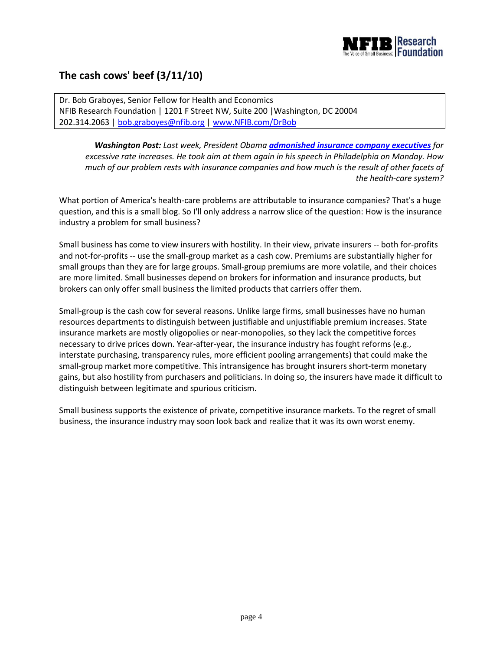

## **The cash cows' beef (3/11/10)**

Dr. Bob Graboyes, Senior Fellow for Health and Economics NFIB Research Foundation | 1201 F Street NW, Suite 200 |Washington, DC 20004 202.314.2063 | [bob.graboyes@nfib.org](mailto:bob.graboyes@nfib.org) | [www.NFIB.com/DrBob](http://www.nfib.com/DrBob)

*Washington Post: Last week, President Obama [admonished insurance company executives](http://www.washingtonpost.com/wp-dyn/content/article/2010/03/04/AR2010030402375.html) for excessive rate increases. He took aim at them again in his speech in Philadelphia on Monday. How much of our problem rests with insurance companies and how much is the result of other facets of the health-care system?*

What portion of America's health-care problems are attributable to insurance companies? That's a huge question, and this is a small blog. So I'll only address a narrow slice of the question: How is the insurance industry a problem for small business?

Small business has come to view insurers with hostility. In their view, private insurers -- both for-profits and not-for-profits -- use the small-group market as a cash cow. Premiums are substantially higher for small groups than they are for large groups. Small-group premiums are more volatile, and their choices are more limited. Small businesses depend on brokers for information and insurance products, but brokers can only offer small business the limited products that carriers offer them.

Small-group is the cash cow for several reasons. Unlike large firms, small businesses have no human resources departments to distinguish between justifiable and unjustifiable premium increases. State insurance markets are mostly oligopolies or near-monopolies, so they lack the competitive forces necessary to drive prices down. Year-after-year, the insurance industry has fought reforms (e.g., interstate purchasing, transparency rules, more efficient pooling arrangements) that could make the small-group market more competitive. This intransigence has brought insurers short-term monetary gains, but also hostility from purchasers and politicians. In doing so, the insurers have made it difficult to distinguish between legitimate and spurious criticism.

Small business supports the existence of private, competitive insurance markets. To the regret of small business, the insurance industry may soon look back and realize that it was its own worst enemy.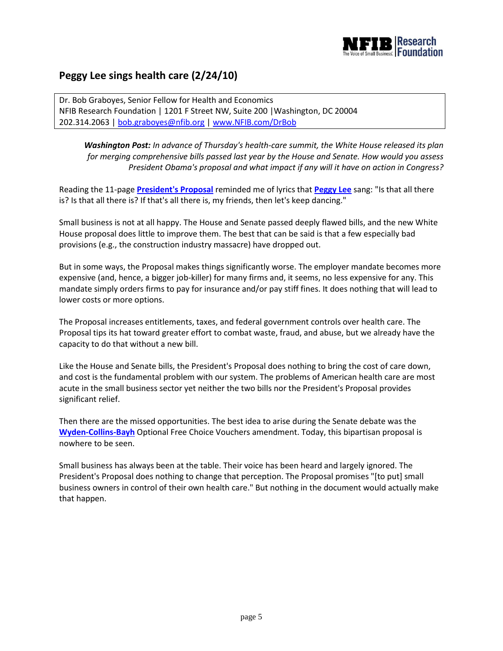

## **Peggy Lee sings health care (2/24/10)**

Dr. Bob Graboyes, Senior Fellow for Health and Economics NFIB Research Foundation | 1201 F Street NW, Suite 200 |Washington, DC 20004 202.314.2063 [| bob.graboyes@nfib.org](mailto:bob.graboyes@nfib.org) | [www.NFIB.com/DrBob](http://www.nfib.com/DrBob)

*Washington Post: In advance of Thursday's health-care summit, the White House released its plan for merging comprehensive bills passed last year by the House and Senate. How would you assess President Obama's proposal and what impact if any will it have on action in Congress?*

Reading the 11-page **[President's Proposal](http://www.whitehouse.gov/health-care-meeting/proposal)** reminded me of lyrics that **[Peggy Lee](http://www.youtube.com/watch?v=3VscVP_Gt_s)** sang: "Is that all there is? Is that all there is? If that's all there is, my friends, then let's keep dancing."

Small business is not at all happy. The House and Senate passed deeply flawed bills, and the new White House proposal does little to improve them. The best that can be said is that a few especially bad provisions (e.g., the construction industry massacre) have dropped out.

But in some ways, the Proposal makes things significantly worse. The employer mandate becomes more expensive (and, hence, a bigger job-killer) for many firms and, it seems, no less expensive for any. This mandate simply orders firms to pay for insurance and/or pay stiff fines. It does nothing that will lead to lower costs or more options.

The Proposal increases entitlements, taxes, and federal government controls over health care. The Proposal tips its hat toward greater effort to combat waste, fraud, and abuse, but we already have the capacity to do that without a new bill.

Like the House and Senate bills, the President's Proposal does nothing to bring the cost of care down, and cost is the fundamental problem with our system. The problems of American health care are most acute in the small business sector yet neither the two bills nor the President's Proposal provides significant relief.

Then there are the missed opportunities. The best idea to arise during the Senate debate was the **[Wyden-Collins-Bayh](http://www.nfib.com/tabid/739/Default.aspx?cmsid=50355)** Optional Free Choice Vouchers amendment. Today, this bipartisan proposal is nowhere to be seen.

Small business has always been at the table. Their voice has been heard and largely ignored. The President's Proposal does nothing to change that perception. The Proposal promises "[to put] small business owners in control of their own health care." But nothing in the document would actually make that happen.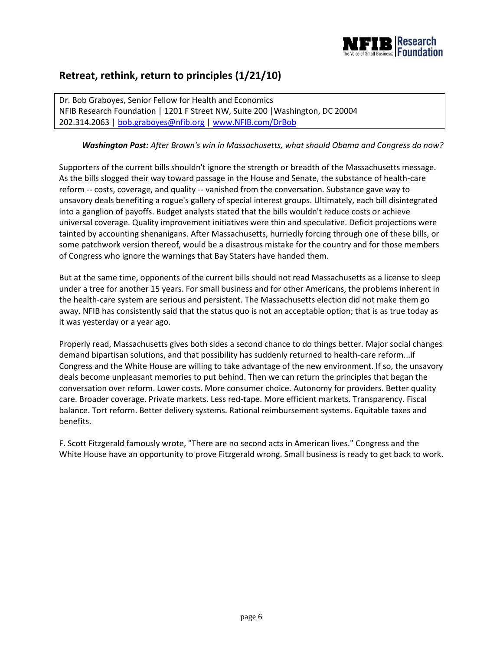

## **Retreat, rethink, return to principles (1/21/10)**

Dr. Bob Graboyes, Senior Fellow for Health and Economics NFIB Research Foundation | 1201 F Street NW, Suite 200 |Washington, DC 20004 202.314.2063 | [bob.graboyes@nfib.org](mailto:bob.graboyes@nfib.org) | [www.NFIB.com/DrBob](http://www.nfib.com/DrBob)

#### *Washington Post: After Brown's win in Massachusetts, what should Obama and Congress do now?*

Supporters of the current bills shouldn't ignore the strength or breadth of the Massachusetts message. As the bills slogged their way toward passage in the House and Senate, the substance of health-care reform -- costs, coverage, and quality -- vanished from the conversation. Substance gave way to unsavory deals benefiting a rogue's gallery of special interest groups. Ultimately, each bill disintegrated into a ganglion of payoffs. Budget analysts stated that the bills wouldn't reduce costs or achieve universal coverage. Quality improvement initiatives were thin and speculative. Deficit projections were tainted by accounting shenanigans. After Massachusetts, hurriedly forcing through one of these bills, or some patchwork version thereof, would be a disastrous mistake for the country and for those members of Congress who ignore the warnings that Bay Staters have handed them.

But at the same time, opponents of the current bills should not read Massachusetts as a license to sleep under a tree for another 15 years. For small business and for other Americans, the problems inherent in the health-care system are serious and persistent. The Massachusetts election did not make them go away. NFIB has consistently said that the status quo is not an acceptable option; that is as true today as it was yesterday or a year ago.

Properly read, Massachusetts gives both sides a second chance to do things better. Major social changes demand bipartisan solutions, and that possibility has suddenly returned to health-care reform...if Congress and the White House are willing to take advantage of the new environment. If so, the unsavory deals become unpleasant memories to put behind. Then we can return the principles that began the conversation over reform. Lower costs. More consumer choice. Autonomy for providers. Better quality care. Broader coverage. Private markets. Less red-tape. More efficient markets. Transparency. Fiscal balance. Tort reform. Better delivery systems. Rational reimbursement systems. Equitable taxes and benefits.

F. Scott Fitzgerald famously wrote, "There are no second acts in American lives." Congress and the White House have an opportunity to prove Fitzgerald wrong. Small business is ready to get back to work.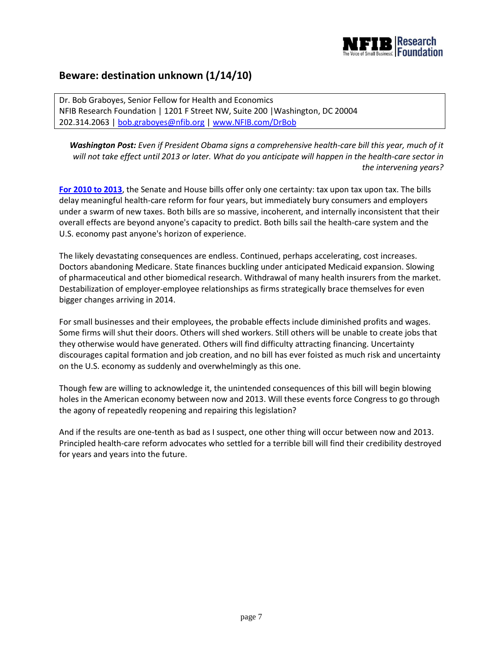

### **Beware: destination unknown (1/14/10)**

Dr. Bob Graboyes, Senior Fellow for Health and Economics NFIB Research Foundation | 1201 F Street NW, Suite 200 |Washington, DC 20004 202.314.2063 | [bob.graboyes@nfib.org](mailto:bob.graboyes@nfib.org) | [www.NFIB.com/DrBob](http://www.nfib.com/DrBob)

*Washington Post: Even if President Obama signs a comprehensive health-care bill this year, much of it will not take effect until 2013 or later. What do you anticipate will happen in the health-care sector in the intervening years?*

**[For 2010 to 2013](http://www.youtube.com/watch?v=5K5drRWoA3w)**, the Senate and House bills offer only one certainty: tax upon tax upon tax. The bills delay meaningful health-care reform for four years, but immediately bury consumers and employers under a swarm of new taxes. Both bills are so massive, incoherent, and internally inconsistent that their overall effects are beyond anyone's capacity to predict. Both bills sail the health-care system and the U.S. economy past anyone's horizon of experience.

The likely devastating consequences are endless. Continued, perhaps accelerating, cost increases. Doctors abandoning Medicare. State finances buckling under anticipated Medicaid expansion. Slowing of pharmaceutical and other biomedical research. Withdrawal of many health insurers from the market. Destabilization of employer-employee relationships as firms strategically brace themselves for even bigger changes arriving in 2014.

For small businesses and their employees, the probable effects include diminished profits and wages. Some firms will shut their doors. Others will shed workers. Still others will be unable to create jobs that they otherwise would have generated. Others will find difficulty attracting financing. Uncertainty discourages capital formation and job creation, and no bill has ever foisted as much risk and uncertainty on the U.S. economy as suddenly and overwhelmingly as this one.

Though few are willing to acknowledge it, the unintended consequences of this bill will begin blowing holes in the American economy between now and 2013. Will these events force Congress to go through the agony of repeatedly reopening and repairing this legislation?

And if the results are one-tenth as bad as I suspect, one other thing will occur between now and 2013. Principled health-care reform advocates who settled for a terrible bill will find their credibility destroyed for years and years into the future.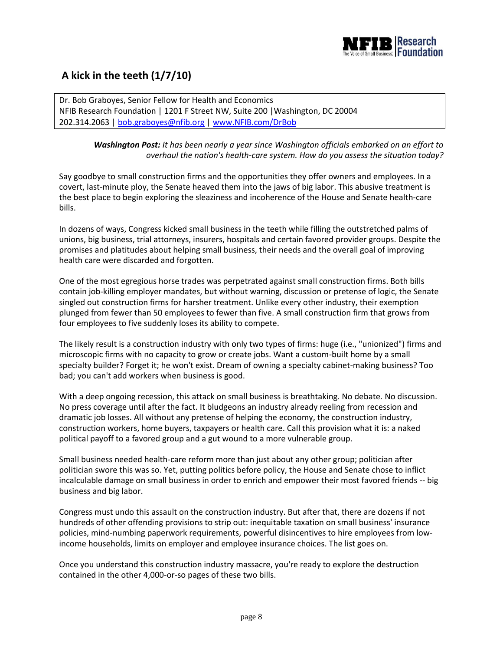

# **A kick in the teeth (1/7/10)**

Dr. Bob Graboyes, Senior Fellow for Health and Economics NFIB Research Foundation | 1201 F Street NW, Suite 200 |Washington, DC 20004 202.314.2063 | [bob.graboyes@nfib.org](mailto:bob.graboyes@nfib.org) | [www.NFIB.com/DrBob](http://www.nfib.com/DrBob)

> *Washington Post: It has been nearly a year since Washington officials embarked on an effort to overhaul the nation's health-care system. How do you assess the situation today?*

Say goodbye to small construction firms and the opportunities they offer owners and employees. In a covert, last-minute ploy, the Senate heaved them into the jaws of big labor. This abusive treatment is the best place to begin exploring the sleaziness and incoherence of the House and Senate health-care bills.

In dozens of ways, Congress kicked small business in the teeth while filling the outstretched palms of unions, big business, trial attorneys, insurers, hospitals and certain favored provider groups. Despite the promises and platitudes about helping small business, their needs and the overall goal of improving health care were discarded and forgotten.

One of the most egregious horse trades was perpetrated against small construction firms. Both bills contain job-killing employer mandates, but without warning, discussion or pretense of logic, the Senate singled out construction firms for harsher treatment. Unlike every other industry, their exemption plunged from fewer than 50 employees to fewer than five. A small construction firm that grows from four employees to five suddenly loses its ability to compete.

The likely result is a construction industry with only two types of firms: huge (i.e., "unionized") firms and microscopic firms with no capacity to grow or create jobs. Want a custom-built home by a small specialty builder? Forget it; he won't exist. Dream of owning a specialty cabinet-making business? Too bad; you can't add workers when business is good.

With a deep ongoing recession, this attack on small business is breathtaking. No debate. No discussion. No press coverage until after the fact. It bludgeons an industry already reeling from recession and dramatic job losses. All without any pretense of helping the economy, the construction industry, construction workers, home buyers, taxpayers or health care. Call this provision what it is: a naked political payoff to a favored group and a gut wound to a more vulnerable group.

Small business needed health-care reform more than just about any other group; politician after politician swore this was so. Yet, putting politics before policy, the House and Senate chose to inflict incalculable damage on small business in order to enrich and empower their most favored friends -- big business and big labor.

Congress must undo this assault on the construction industry. But after that, there are dozens if not hundreds of other offending provisions to strip out: inequitable taxation on small business' insurance policies, mind-numbing paperwork requirements, powerful disincentives to hire employees from lowincome households, limits on employer and employee insurance choices. The list goes on.

Once you understand this construction industry massacre, you're ready to explore the destruction contained in the other 4,000-or-so pages of these two bills.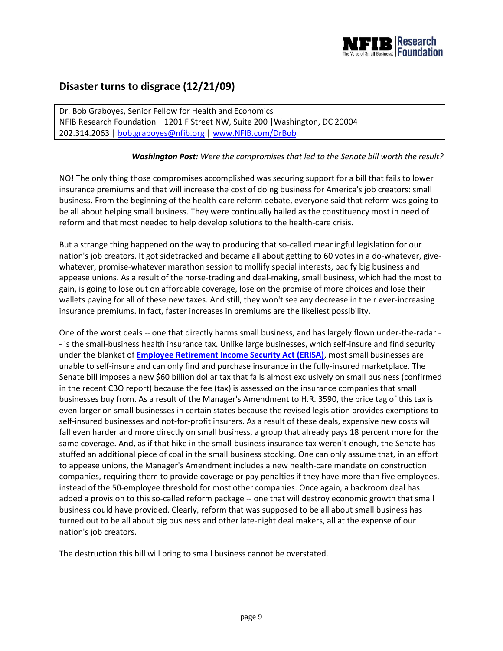

## **Disaster turns to disgrace (12/21/09)**

Dr. Bob Graboyes, Senior Fellow for Health and Economics NFIB Research Foundation | 1201 F Street NW, Suite 200 |Washington, DC 20004 202.314.2063 | [bob.graboyes@nfib.org](mailto:bob.graboyes@nfib.org) | [www.NFIB.com/DrBob](http://www.nfib.com/DrBob)

#### *Washington Post: Were the compromises that led to the Senate bill worth the result?*

NO! The only thing those compromises accomplished was securing support for a bill that fails to lower insurance premiums and that will increase the cost of doing business for America's job creators: small business. From the beginning of the health-care reform debate, everyone said that reform was going to be all about helping small business. They were continually hailed as the constituency most in need of reform and that most needed to help develop solutions to the health-care crisis.

But a strange thing happened on the way to producing that so-called meaningful legislation for our nation's job creators. It got sidetracked and became all about getting to 60 votes in a do-whatever, givewhatever, promise-whatever marathon session to mollify special interests, pacify big business and appease unions. As a result of the horse-trading and deal-making, small business, which had the most to gain, is going to lose out on affordable coverage, lose on the promise of more choices and lose their wallets paying for all of these new taxes. And still, they won't see any decrease in their ever-increasing insurance premiums. In fact, faster increases in premiums are the likeliest possibility.

One of the worst deals -- one that directly harms small business, and has largely flown under-the-radar - - is the small-business health insurance tax. Unlike large businesses, which self-insure and find security under the blanket of **[Employee Retirement Income Security Act \(ERISA\)](http://www.dol.gov/dol/topic/health-plans/erisa.htm)**, most small businesses are unable to self-insure and can only find and purchase insurance in the fully-insured marketplace. The Senate bill imposes a new \$60 billion dollar tax that falls almost exclusively on small business (confirmed in the recent CBO report) because the fee (tax) is assessed on the insurance companies that small businesses buy from. As a result of the Manager's Amendment to H.R. 3590, the price tag of this tax is even larger on small businesses in certain states because the revised legislation provides exemptions to self-insured businesses and not-for-profit insurers. As a result of these deals, expensive new costs will fall even harder and more directly on small business, a group that already pays 18 percent more for the same coverage. And, as if that hike in the small-business insurance tax weren't enough, the Senate has stuffed an additional piece of coal in the small business stocking. One can only assume that, in an effort to appease unions, the Manager's Amendment includes a new health-care mandate on construction companies, requiring them to provide coverage or pay penalties if they have more than five employees, instead of the 50-employee threshold for most other companies. Once again, a backroom deal has added a provision to this so-called reform package -- one that will destroy economic growth that small business could have provided. Clearly, reform that was supposed to be all about small business has turned out to be all about big business and other late-night deal makers, all at the expense of our nation's job creators.

The destruction this bill will bring to small business cannot be overstated.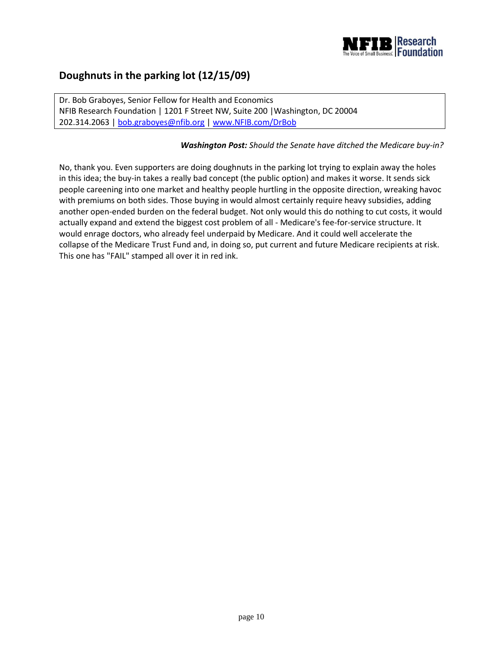

# **Doughnuts in the parking lot (12/15/09)**

Dr. Bob Graboyes, Senior Fellow for Health and Economics NFIB Research Foundation | 1201 F Street NW, Suite 200 |Washington, DC 20004 202.314.2063 | [bob.graboyes@nfib.org](mailto:bob.graboyes@nfib.org) | [www.NFIB.com/DrBob](http://www.nfib.com/DrBob)

#### *Washington Post: Should the Senate have ditched the Medicare buy-in?*

No, thank you. Even supporters are doing doughnuts in the parking lot trying to explain away the holes in this idea; the buy-in takes a really bad concept (the public option) and makes it worse. It sends sick people careening into one market and healthy people hurtling in the opposite direction, wreaking havoc with premiums on both sides. Those buying in would almost certainly require heavy subsidies, adding another open-ended burden on the federal budget. Not only would this do nothing to cut costs, it would actually expand and extend the biggest cost problem of all - Medicare's fee-for-service structure. It would enrage doctors, who already feel underpaid by Medicare. And it could well accelerate the collapse of the Medicare Trust Fund and, in doing so, put current and future Medicare recipients at risk. This one has "FAIL" stamped all over it in red ink.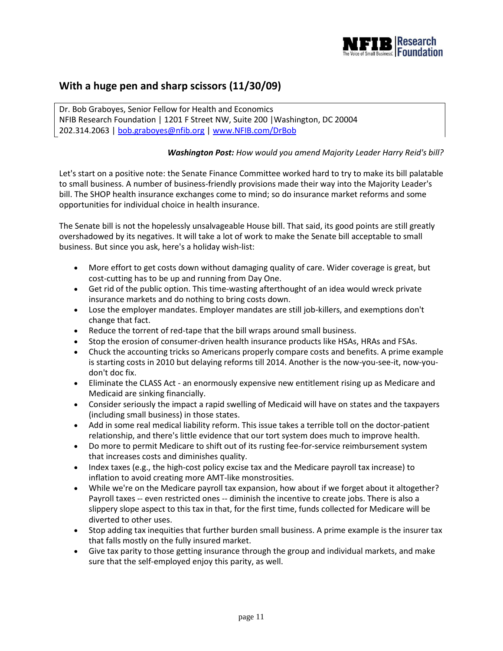

# **With a huge pen and sharp scissors (11/30/09)**

Dr. Bob Graboyes, Senior Fellow for Health and Economics NFIB Research Foundation | 1201 F Street NW, Suite 200 |Washington, DC 20004 202.314.2063 | [bob.graboyes@nfib.org](mailto:bob.graboyes@nfib.org) | [www.NFIB.com/DrBob](http://www.nfib.com/DrBob)

#### *Washington Post: How would you amend Majority Leader Harry Reid's bill?*

Let's start on a positive note: the Senate Finance Committee worked hard to try to make its bill palatable to small business. A number of business-friendly provisions made their way into the Majority Leader's bill. The SHOP health insurance exchanges come to mind; so do insurance market reforms and some opportunities for individual choice in health insurance.

The Senate bill is not the hopelessly unsalvageable House bill. That said, its good points are still greatly overshadowed by its negatives. It will take a lot of work to make the Senate bill acceptable to small business. But since you ask, here's a holiday wish-list:

- More effort to get costs down without damaging quality of care. Wider coverage is great, but cost-cutting has to be up and running from Day One.
- Get rid of the public option. This time-wasting afterthought of an idea would wreck private insurance markets and do nothing to bring costs down.
- Lose the employer mandates. Employer mandates are still job-killers, and exemptions don't change that fact.
- Reduce the torrent of red-tape that the bill wraps around small business.
- Stop the erosion of consumer-driven health insurance products like HSAs, HRAs and FSAs.
- Chuck the accounting tricks so Americans properly compare costs and benefits. A prime example is starting costs in 2010 but delaying reforms till 2014. Another is the now-you-see-it, now-youdon't doc fix.
- Eliminate the CLASS Act an enormously expensive new entitlement rising up as Medicare and Medicaid are sinking financially.
- Consider seriously the impact a rapid swelling of Medicaid will have on states and the taxpayers (including small business) in those states.
- Add in some real medical liability reform. This issue takes a terrible toll on the doctor-patient relationship, and there's little evidence that our tort system does much to improve health.
- Do more to permit Medicare to shift out of its rusting fee-for-service reimbursement system that increases costs and diminishes quality.
- Index taxes (e.g., the high-cost policy excise tax and the Medicare payroll tax increase) to inflation to avoid creating more AMT-like monstrosities.
- While we're on the Medicare payroll tax expansion, how about if we forget about it altogether? Payroll taxes -- even restricted ones -- diminish the incentive to create jobs. There is also a slippery slope aspect to this tax in that, for the first time, funds collected for Medicare will be diverted to other uses.
- Stop adding tax inequities that further burden small business. A prime example is the insurer tax that falls mostly on the fully insured market.
- Give tax parity to those getting insurance through the group and individual markets, and make sure that the self-employed enjoy this parity, as well.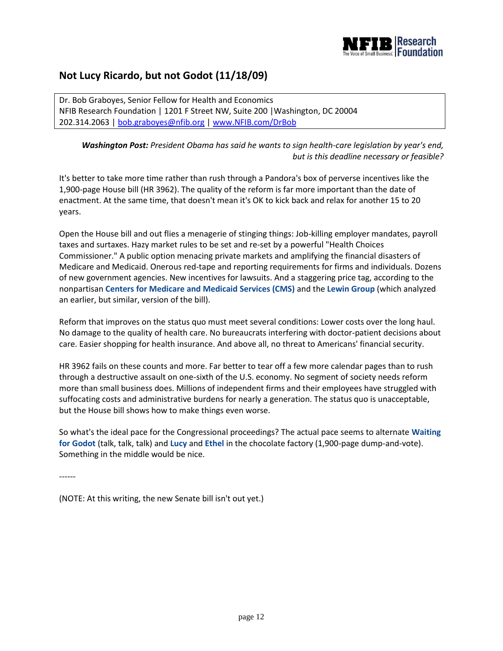

# **Not Lucy Ricardo, but not Godot (11/18/09)**

Dr. Bob Graboyes, Senior Fellow for Health and Economics NFIB Research Foundation | 1201 F Street NW, Suite 200 |Washington, DC 20004 202.314.2063 | [bob.graboyes@nfib.org](mailto:bob.graboyes@nfib.org) | [www.NFIB.com/DrBob](http://www.nfib.com/DrBob)

*Washington Post: President Obama has said he wants to sign health-care legislation by year's end, but is this deadline necessary or feasible?*

It's better to take more time rather than rush through a Pandora's box of perverse incentives like the 1,900-page House bill (HR 3962). The quality of the reform is far more important than the date of enactment. At the same time, that doesn't mean it's OK to kick back and relax for another 15 to 20 years.

Open the House bill and out flies a menagerie of stinging things: Job-killing employer mandates, payroll taxes and surtaxes. Hazy market rules to be set and re-set by a powerful "Health Choices Commissioner." A public option menacing private markets and amplifying the financial disasters of Medicare and Medicaid. Onerous red-tape and reporting requirements for firms and individuals. Dozens of new government agencies. New incentives for lawsuits. And a staggering price tag, according to the nonpartisan **[Centers for Medicare and Medicaid Services \(CMS\)](http://thehill.com/homenews/house/67791-cms-house-health-bill-will-hike-costs-289b?page=3)** and the **[Lewin Group](http://www.lewin.com/content/publications/The%20Peterson%20Foundation%20Report.pdf)** (which analyzed an earlier, but similar, version of the bill).

Reform that improves on the status quo must meet several conditions: Lower costs over the long haul. No damage to the quality of health care. No bureaucrats interfering with doctor-patient decisions about care. Easier shopping for health insurance. And above all, no threat to Americans' financial security.

HR 3962 fails on these counts and more. Far better to tear off a few more calendar pages than to rush through a destructive assault on one-sixth of the U.S. economy. No segment of society needs reform more than small business does. Millions of independent firms and their employees have struggled with suffocating costs and administrative burdens for nearly a generation. The status quo is unacceptable, but the House bill shows how to make things even worse.

So what's the ideal pace for the Congressional proceedings? The actual pace seems to alternate **[Waiting](http://www.amazon.com/Samuel-Beckett-Waiting-Critical-Interpretations/dp/0791097935/ref=sr_1_1?ie=UTF8&s=books&qid=1258558681&sr=8-1)  [for Godot](http://www.amazon.com/Samuel-Beckett-Waiting-Critical-Interpretations/dp/0791097935/ref=sr_1_1?ie=UTF8&s=books&qid=1258558681&sr=8-1)** (talk, talk, talk) and **[Lucy](http://www.tvland.com/photogallery/photos/I-Love-Lucy-Chocolates.jpg)** and **[Ethel](http://www.youtube.com/watch?v=yx1rx_dDVF4)** in the chocolate factory (1,900-page dump-and-vote). Something in the middle would be nice.

------

(NOTE: At this writing, the new Senate bill isn't out yet.)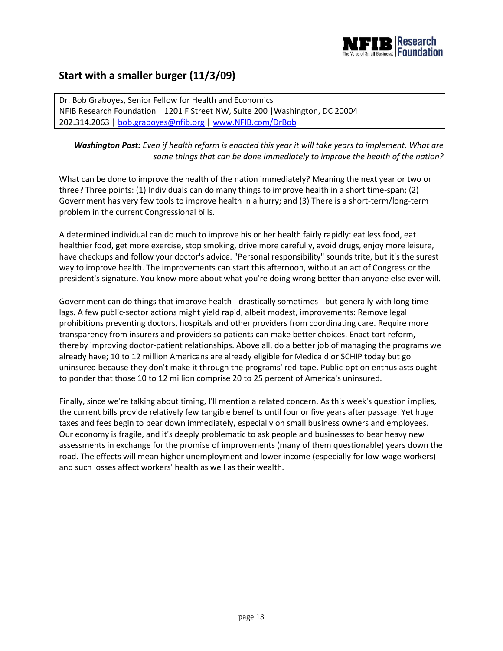

## **Start with a smaller burger (11/3/09)**

Dr. Bob Graboyes, Senior Fellow for Health and Economics NFIB Research Foundation | 1201 F Street NW, Suite 200 |Washington, DC 20004 202.314.2063 | [bob.graboyes@nfib.org](mailto:bob.graboyes@nfib.org) | [www.NFIB.com/DrBob](http://www.nfib.com/DrBob)

*Washington Post: Even if health reform is enacted this year it will take years to implement. What are some things that can be done immediately to improve the health of the nation?*

What can be done to improve the health of the nation immediately? Meaning the next year or two or three? Three points: (1) Individuals can do many things to improve health in a short time-span; (2) Government has very few tools to improve health in a hurry; and (3) There is a short-term/long-term problem in the current Congressional bills.

A determined individual can do much to improve his or her health fairly rapidly: eat less food, eat healthier food, get more exercise, stop smoking, drive more carefully, avoid drugs, enjoy more leisure, have checkups and follow your doctor's advice. "Personal responsibility" sounds trite, but it's the surest way to improve health. The improvements can start this afternoon, without an act of Congress or the president's signature. You know more about what you're doing wrong better than anyone else ever will.

Government can do things that improve health - drastically sometimes - but generally with long timelags. A few public-sector actions might yield rapid, albeit modest, improvements: Remove legal prohibitions preventing doctors, hospitals and other providers from coordinating care. Require more transparency from insurers and providers so patients can make better choices. Enact tort reform, thereby improving doctor-patient relationships. Above all, do a better job of managing the programs we already have; 10 to 12 million Americans are already eligible for Medicaid or SCHIP today but go uninsured because they don't make it through the programs' red-tape. Public-option enthusiasts ought to ponder that those 10 to 12 million comprise 20 to 25 percent of America's uninsured.

Finally, since we're talking about timing, I'll mention a related concern. As this week's question implies, the current bills provide relatively few tangible benefits until four or five years after passage. Yet huge taxes and fees begin to bear down immediately, especially on small business owners and employees. Our economy is fragile, and it's deeply problematic to ask people and businesses to bear heavy new assessments in exchange for the promise of improvements (many of them questionable) years down the road. The effects will mean higher unemployment and lower income (especially for low-wage workers) and such losses affect workers' health as well as their wealth.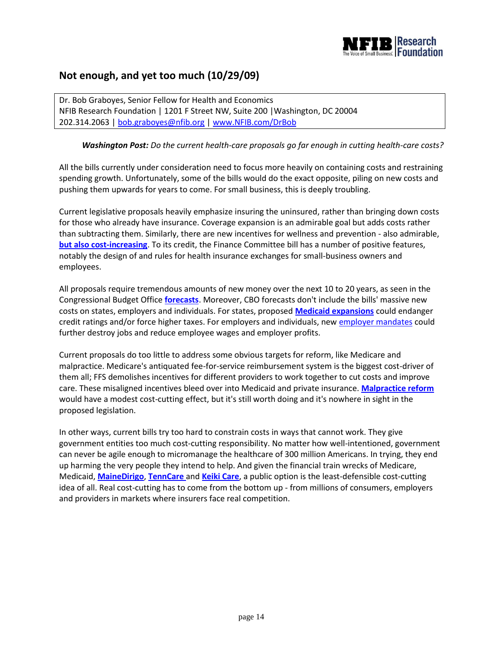

## **Not enough, and yet too much (10/29/09)**

Dr. Bob Graboyes, Senior Fellow for Health and Economics NFIB Research Foundation | 1201 F Street NW, Suite 200 |Washington, DC 20004 202.314.2063 | [bob.graboyes@nfib.org](mailto:bob.graboyes@nfib.org) | [www.NFIB.com/DrBob](http://www.nfib.com/DrBob)

### *Washington Post: Do the current health-care proposals go far enough in cutting health-care costs?*

All the bills currently under consideration need to focus more heavily on containing costs and restraining spending growth. Unfortunately, some of the bills would do the exact opposite, piling on new costs and pushing them upwards for years to come. For small business, this is deeply troubling.

Current legislative proposals heavily emphasize insuring the uninsured, rather than bringing down costs for those who already have insurance. Coverage expansion is an admirable goal but adds costs rather than subtracting them. Similarly, there are new incentives for wellness and prevention - also admirable, **[but also cost-increasing](http://healthcarecostmonitor.thehastingscenter.org/louiserussell/a-persistent-myth/)**. To its credit, the Finance Committee bill has a number of positive features, notably the design of and rules for health insurance exchanges for small-business owners and employees.

All proposals require tremendous amounts of new money over the next 10 to 20 years, as seen in the Congressional Budget Office **[forecasts](http://www.cbo.gov/publications/collections/health.cfm)**. Moreover, CBO forecasts don't include the bills' massive new costs on states, employers and individuals. For states, proposed **[Medicaid expansions](http://www.washingtonpost.com/wp-dyn/content/article/2009/10/04/AR2009100403185.html?hpid=moreheadlines)** could endanger credit ratings and/or force higher taxes. For employers and individuals, ne[w employer mandates](http://www.youtube.com/watch?v=Fy7ljCnYH8Y) could further destroy jobs and reduce employee wages and employer profits.

Current proposals do too little to address some obvious targets for reform, like Medicare and malpractice. Medicare's antiquated fee-for-service reimbursement system is the biggest cost-driver of them all; FFS demolishes incentives for different providers to work together to cut costs and improve care. These misaligned incentives bleed over into Medicaid and private insurance. **[Malpractice reform](http://www.cbo.gov/doc.cfm?index=10641)** would have a modest cost-cutting effect, but it's still worth doing and it's nowhere in sight in the proposed legislation.

In other ways, current bills try too hard to constrain costs in ways that cannot work. They give government entities too much cost-cutting responsibility. No matter how well-intentioned, government can never be agile enough to micromanage the healthcare of 300 million Americans. In trying, they end up harming the very people they intend to help. And given the financial train wrecks of Medicare, Medicaid, **[MaineDirigo](http://business.mainetoday.com/news/060820bragdon.shtml)**, **[TennCare](http://nashville.bizjournals.com/nashville/stories/1999/12/27/editorial1.html)** and **[Keiki Care](http://www.kaisernetwork.org/Daily_reports/rep_index.cfm?DR_ID=55053)**, a public option is the least-defensible cost-cutting idea of all. Real cost-cutting has to come from the bottom up - from millions of consumers, employers and providers in markets where insurers face real competition.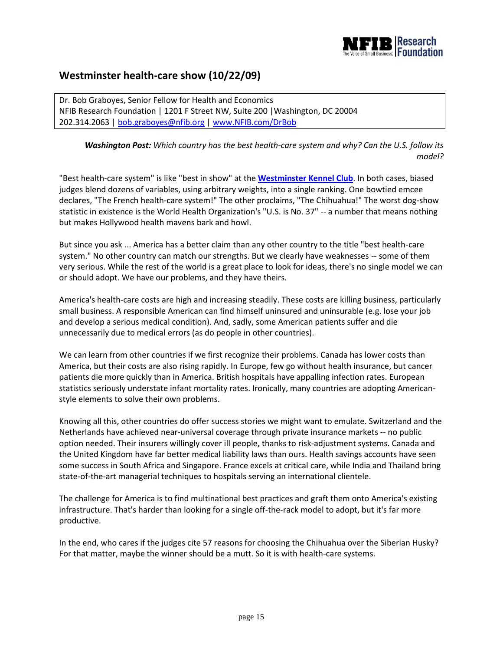

## **Westminster health-care show (10/22/09)**

Dr. Bob Graboyes, Senior Fellow for Health and Economics NFIB Research Foundation | 1201 F Street NW, Suite 200 |Washington, DC 20004 202.314.2063 | [bob.graboyes@nfib.org](mailto:bob.graboyes@nfib.org) | [www.NFIB.com/DrBob](http://www.nfib.com/DrBob)

*Washington Post: Which country has the best health-care system and why? Can the U.S. follow its model?*

"Best health-care system" is like "best in show" at the **[Westminster Kennel Club](http://views.washingtonpost.com/healthcarerx/panelists/2009/10/www.westminsterkennelclub.org)**. In both cases, biased judges blend dozens of variables, using arbitrary weights, into a single ranking. One bowtied emcee declares, "The French health-care system!" The other proclaims, "The Chihuahua!" The worst dog-show statistic in existence is the World Health Organization's "U.S. is No. 37" -- a number that means nothing but makes Hollywood health mavens bark and howl.

But since you ask ... America has a better claim than any other country to the title "best health-care system." No other country can match our strengths. But we clearly have weaknesses -- some of them very serious. While the rest of the world is a great place to look for ideas, there's no single model we can or should adopt. We have our problems, and they have theirs.

America's health-care costs are high and increasing steadily. These costs are killing business, particularly small business. A responsible American can find himself uninsured and uninsurable (e.g. lose your job and develop a serious medical condition). And, sadly, some American patients suffer and die unnecessarily due to medical errors (as do people in other countries).

We can learn from other countries if we first recognize their problems. Canada has lower costs than America, but their costs are also rising rapidly. In Europe, few go without health insurance, but cancer patients die more quickly than in America. British hospitals have appalling infection rates. European statistics seriously understate infant mortality rates. Ironically, many countries are adopting Americanstyle elements to solve their own problems.

Knowing all this, other countries do offer success stories we might want to emulate. Switzerland and the Netherlands have achieved near-universal coverage through private insurance markets -- no public option needed. Their insurers willingly cover ill people, thanks to risk-adjustment systems. Canada and the United Kingdom have far better medical liability laws than ours. Health savings accounts have seen some success in South Africa and Singapore. France excels at critical care, while India and Thailand bring state-of-the-art managerial techniques to hospitals serving an international clientele.

The challenge for America is to find multinational best practices and graft them onto America's existing infrastructure. That's harder than looking for a single off-the-rack model to adopt, but it's far more productive.

In the end, who cares if the judges cite 57 reasons for choosing the Chihuahua over the Siberian Husky? For that matter, maybe the winner should be a mutt. So it is with health-care systems.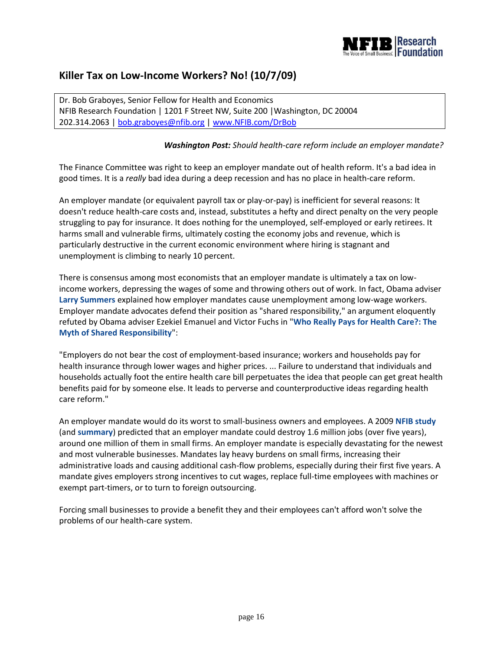

## **Killer Tax on Low-Income Workers? No! (10/7/09)**

Dr. Bob Graboyes, Senior Fellow for Health and Economics NFIB Research Foundation | 1201 F Street NW, Suite 200 |Washington, DC 20004 202.314.2063 | [bob.graboyes@nfib.org](mailto:bob.graboyes@nfib.org) | [www.NFIB.com/DrBob](http://www.nfib.com/DrBob)

*Washington Post: Should health-care reform include an employer mandate?*

The Finance Committee was right to keep an employer mandate out of health reform. It's a bad idea in good times. It is a *really* bad idea during a deep recession and has no place in health-care reform.

An employer mandate (or equivalent payroll tax or play-or-pay) is inefficient for several reasons: It doesn't reduce health-care costs and, instead, substitutes a hefty and direct penalty on the very people struggling to pay for insurance. It does nothing for the unemployed, self-employed or early retirees. It harms small and vulnerable firms, ultimately costing the economy jobs and revenue, which is particularly destructive in the current economic environment where hiring is stagnant and unemployment is climbing to nearly 10 percent.

There is consensus among most economists that an employer mandate is ultimately a tax on lowincome workers, depressing the wages of some and throwing others out of work. In fact, Obama adviser **[Larry Summers](http://www3.amherst.edu/~jwreyes/econ77reading/Summers)** explained how employer mandates cause unemployment among low-wage workers. Employer mandate advocates defend their position as "shared responsibility," an argument eloquently refuted by Obama adviser Ezekiel Emanuel and Victor Fuchs in "**[Who Really Pays for Health Care?: The](http://jama.ama-assn.org/cgi/content/extract/299/9/1057)  [Myth of Shared Responsibility](http://jama.ama-assn.org/cgi/content/extract/299/9/1057)**":

"Employers do not bear the cost of employment-based insurance; workers and households pay for health insurance through lower wages and higher prices. ... Failure to understand that individuals and households actually foot the entire health care bill perpetuates the idea that people can get great health benefits paid for by someone else. It leads to perverse and counterproductive ideas regarding health care reform."

An employer mandate would do its worst to small-business owners and employees. A 2009 **[NFIB study](http://www.nfib.com/Portals/0/PDF/AllUsers/NFIBStudy_HealthcareMandate.pdf)**  (and **[summary](http://www.nfib.com/Portals/0/PDF/AllUsers/MandatedHealthBenefits.pdf)**) predicted that an employer mandate could destroy 1.6 million jobs (over five years), around one million of them in small firms. An employer mandate is especially devastating for the newest and most vulnerable businesses. Mandates lay heavy burdens on small firms, increasing their administrative loads and causing additional cash-flow problems, especially during their first five years. A mandate gives employers strong incentives to cut wages, replace full-time employees with machines or exempt part-timers, or to turn to foreign outsourcing.

Forcing small businesses to provide a benefit they and their employees can't afford won't solve the problems of our health-care system.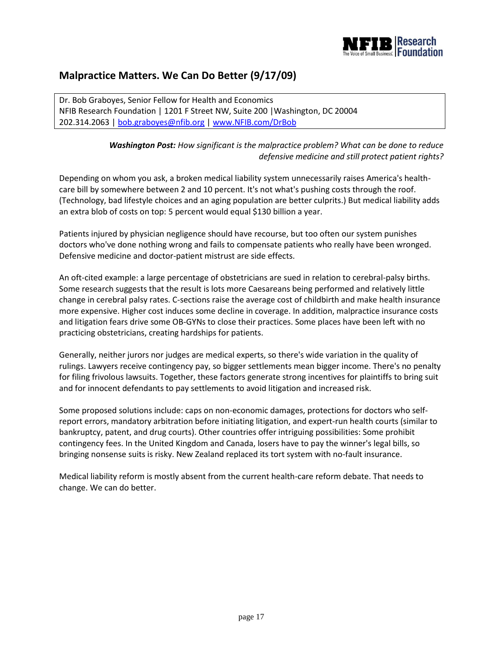

## **Malpractice Matters. We Can Do Better (9/17/09)**

Dr. Bob Graboyes, Senior Fellow for Health and Economics NFIB Research Foundation | 1201 F Street NW, Suite 200 |Washington, DC 20004 202.314.2063 | [bob.graboyes@nfib.org](mailto:bob.graboyes@nfib.org) | [www.NFIB.com/DrBob](http://www.nfib.com/DrBob)

> *Washington Post: How significant is the malpractice problem? What can be done to reduce defensive medicine and still protect patient rights?*

Depending on whom you ask, a broken medical liability system unnecessarily raises America's healthcare bill by somewhere between 2 and 10 percent. It's not what's pushing costs through the roof. (Technology, bad lifestyle choices and an aging population are better culprits.) But medical liability adds an extra blob of costs on top: 5 percent would equal \$130 billion a year.

Patients injured by physician negligence should have recourse, but too often our system punishes doctors who've done nothing wrong and fails to compensate patients who really have been wronged. Defensive medicine and doctor-patient mistrust are side effects.

An oft-cited example: a large percentage of obstetricians are sued in relation to cerebral-palsy births. Some research suggests that the result is lots more Caesareans being performed and relatively little change in cerebral palsy rates. C-sections raise the average cost of childbirth and make health insurance more expensive. Higher cost induces some decline in coverage. In addition, malpractice insurance costs and litigation fears drive some OB-GYNs to close their practices. Some places have been left with no practicing obstetricians, creating hardships for patients.

Generally, neither jurors nor judges are medical experts, so there's wide variation in the quality of rulings. Lawyers receive contingency pay, so bigger settlements mean bigger income. There's no penalty for filing frivolous lawsuits. Together, these factors generate strong incentives for plaintiffs to bring suit and for innocent defendants to pay settlements to avoid litigation and increased risk.

Some proposed solutions include: caps on non-economic damages, protections for doctors who selfreport errors, mandatory arbitration before initiating litigation, and expert-run health courts (similar to bankruptcy, patent, and drug courts). Other countries offer intriguing possibilities: Some prohibit contingency fees. In the United Kingdom and Canada, losers have to pay the winner's legal bills, so bringing nonsense suits is risky. New Zealand replaced its tort system with no-fault insurance.

Medical liability reform is mostly absent from the current health-care reform debate. That needs to change. We can do better.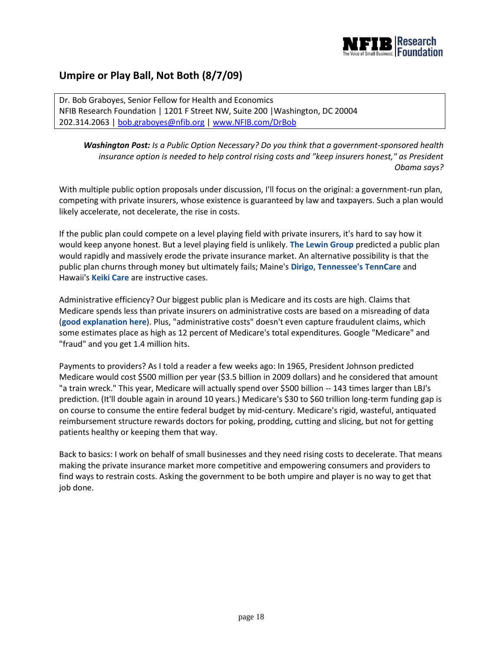

### **Umpire or Play Ball, Not Both (8/7/09)**

Dr. Bob Graboyes, Senior Fellow for Health and Economics NFIB Research Foundation | 1201 F Street NW, Suite 200 |Washington, DC 20004 202.314.2063 | [bob.graboyes@nfib.org](mailto:bob.graboyes@nfib.org) | [www.NFIB.com/DrBob](http://www.nfib.com/DrBob)

*Washington Post: Is a Public Option Necessary? Do you think that a government-sponsored health insurance option is needed to help control rising costs and "keep insurers honest," as President Obama says?*

With multiple public option proposals under discussion, I'll focus on the original: a government-run plan, competing with private insurers, whose existence is guaranteed by law and taxpayers. Such a plan would likely accelerate, not decelerate, the rise in costs.

If the public plan could compete on a level playing field with private insurers, it's hard to say how it would keep anyone honest. But a level playing field is unlikely. **[The Lewin Group](http://www.lewin.com/News/Article/15/)** predicted a public plan would rapidly and massively erode the private insurance market. An alternative possibility is that the public plan churns through money but ultimately fails; Maine's **[Dirigo](http://business.mainetoday.com/news/060820bragdon.shtml)**, **[Tennessee's](http://www.kaisernetwork.org/daily_reports/rep_index.cfm?hint=3&DR_ID=2331) [TennCare](http://nashville.bizjournals.com/nashville/stories/1999/12/27/editorial1.html)** and Hawaii's **[Keiki Care](http://www.kaisernetwork.org/Daily_reports/rep_index.cfm?DR_ID=55053)** are instructive cases.

Administrative efficiency? Our biggest public plan is Medicare and its costs are high. Claims that Medicare spends less than private insurers on administrative costs are based on a misreading of data (**[good explanation here](http://www.heritage.org/research/healthcare/bg2301.cfm)**). Plus, "administrative costs" doesn't even capture fraudulent claims, which some estimates place as high as 12 percent of Medicare's total expenditures. Google "Medicare" and "fraud" and you get 1.4 million hits.

Payments to providers? As I told a reader a few weeks ago: In 1965, President Johnson predicted Medicare would cost \$500 million per year (\$3.5 billion in 2009 dollars) and he considered that amount "a train wreck." This year, Medicare will actually spend over \$500 billion -- 143 times larger than LBJ's prediction. (It'll double again in around 10 years.) Medicare's \$30 to \$60 trillion long-term funding gap is on course to consume the entire federal budget by mid-century. Medicare's rigid, wasteful, antiquated reimbursement structure rewards doctors for poking, prodding, cutting and slicing, but not for getting patients healthy or keeping them that way.

Back to basics: I work on behalf of small businesses and they need rising costs to decelerate. That means making the private insurance market more competitive and empowering consumers and providers to find ways to restrain costs. Asking the government to be both umpire and player is no way to get that job done.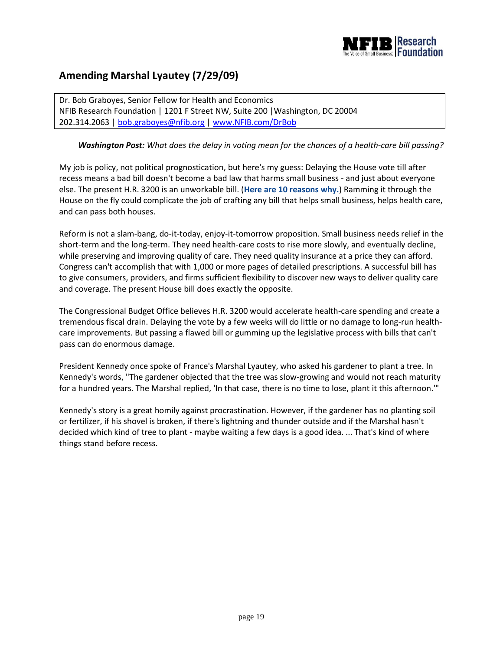

## **Amending Marshal Lyautey (7/29/09)**

Dr. Bob Graboyes, Senior Fellow for Health and Economics NFIB Research Foundation | 1201 F Street NW, Suite 200 |Washington, DC 20004 202.314.2063 | [bob.graboyes@nfib.org](mailto:bob.graboyes@nfib.org) | [www.NFIB.com/DrBob](http://www.nfib.com/DrBob)

### *Washington Post: What does the delay in voting mean for the chances of a health-care bill passing?*

My job is policy, not political prognostication, but here's my guess: Delaying the House vote till after recess means a bad bill doesn't become a bad law that harms small business - and just about everyone else. The present H.R. 3200 is an unworkable bill. (**[Here are 10 reasons why.](http://www.fixedforamerica.com/pressreleases/view.aspx?id=1431)**) Ramming it through the House on the fly could complicate the job of crafting any bill that helps small business, helps health care, and can pass both houses.

Reform is not a slam-bang, do-it-today, enjoy-it-tomorrow proposition. Small business needs relief in the short-term and the long-term. They need health-care costs to rise more slowly, and eventually decline, while preserving and improving quality of care. They need quality insurance at a price they can afford. Congress can't accomplish that with 1,000 or more pages of detailed prescriptions. A successful bill has to give consumers, providers, and firms sufficient flexibility to discover new ways to deliver quality care and coverage. The present House bill does exactly the opposite.

The Congressional Budget Office believes H.R. 3200 would accelerate health-care spending and create a tremendous fiscal drain. Delaying the vote by a few weeks will do little or no damage to long-run healthcare improvements. But passing a flawed bill or gumming up the legislative process with bills that can't pass can do enormous damage.

President Kennedy once spoke of France's Marshal Lyautey, who asked his gardener to plant a tree. In Kennedy's words, "The gardener objected that the tree was slow-growing and would not reach maturity for a hundred years. The Marshal replied, 'In that case, there is no time to lose, plant it this afternoon.'"

Kennedy's story is a great homily against procrastination. However, if the gardener has no planting soil or fertilizer, if his shovel is broken, if there's lightning and thunder outside and if the Marshal hasn't decided which kind of tree to plant - maybe waiting a few days is a good idea. ... That's kind of where things stand before recess.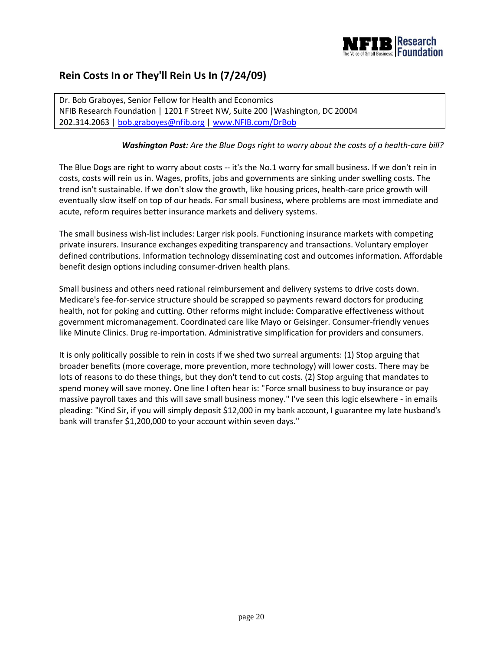

# **Rein Costs In or They'll Rein Us In (7/24/09)**

Dr. Bob Graboyes, Senior Fellow for Health and Economics NFIB Research Foundation | 1201 F Street NW, Suite 200 |Washington, DC 20004 202.314.2063 | [bob.graboyes@nfib.org](mailto:bob.graboyes@nfib.org) | [www.NFIB.com/DrBob](http://www.nfib.com/DrBob)

### *Washington Post: Are the Blue Dogs right to worry about the costs of a health-care bill?*

The Blue Dogs are right to worry about costs -- it's the No.1 worry for small business. If we don't rein in costs, costs will rein us in. Wages, profits, jobs and governments are sinking under swelling costs. The trend isn't sustainable. If we don't slow the growth, like housing prices, health-care price growth will eventually slow itself on top of our heads. For small business, where problems are most immediate and acute, reform requires better insurance markets and delivery systems.

The small business wish-list includes: Larger risk pools. Functioning insurance markets with competing private insurers. Insurance exchanges expediting transparency and transactions. Voluntary employer defined contributions. Information technology disseminating cost and outcomes information. Affordable benefit design options including consumer-driven health plans.

Small business and others need rational reimbursement and delivery systems to drive costs down. Medicare's fee-for-service structure should be scrapped so payments reward doctors for producing health, not for poking and cutting. Other reforms might include: Comparative effectiveness without government micromanagement. Coordinated care like Mayo or Geisinger. Consumer-friendly venues like Minute Clinics. Drug re-importation. Administrative simplification for providers and consumers.

It is only politically possible to rein in costs if we shed two surreal arguments: (1) Stop arguing that broader benefits (more coverage, more prevention, more technology) will lower costs. There may be lots of reasons to do these things, but they don't tend to cut costs. (2) Stop arguing that mandates to spend money will save money. One line I often hear is: "Force small business to buy insurance or pay massive payroll taxes and this will save small business money." I've seen this logic elsewhere - in emails pleading: "Kind Sir, if you will simply deposit \$12,000 in my bank account, I guarantee my late husband's bank will transfer \$1,200,000 to your account within seven days."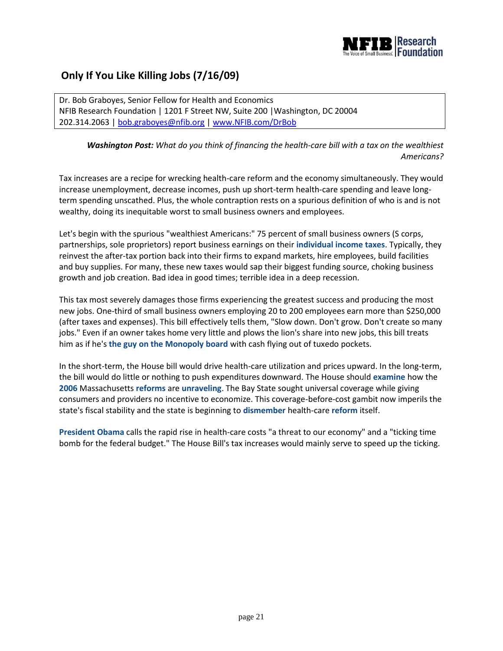

# **Only If You Like Killing Jobs (7/16/09)**

Dr. Bob Graboyes, Senior Fellow for Health and Economics NFIB Research Foundation | 1201 F Street NW, Suite 200 |Washington, DC 20004 202.314.2063 | [bob.graboyes@nfib.org](mailto:bob.graboyes@nfib.org) | [www.NFIB.com/DrBob](http://www.nfib.com/DrBob)

*Washington Post: What do you think of financing the health-care bill with a tax on the wealthiest Americans?*

Tax increases are a recipe for wrecking health-care reform and the economy simultaneously. They would increase unemployment, decrease incomes, push up short-term health-care spending and leave longterm spending unscathed. Plus, the whole contraption rests on a spurious definition of who is and is not wealthy, doing its inequitable worst to small business owners and employees.

Let's begin with the spurious "wealthiest Americans:" 75 percent of small business owners (S corps, partnerships, sole proprietors) report business earnings on their **[individual income taxes](http://finance.senate.gov/hearings/testimony/2008test/060508dmtest.pdf)**. Typically, they reinvest the after-tax portion back into their firms to expand markets, hire employees, build facilities and buy supplies. For many, these new taxes would sap their biggest funding source, choking business growth and job creation. Bad idea in good times; terrible idea in a deep recession.

This tax most severely damages those firms experiencing the greatest success and producing the most new jobs. One-third of small business owners employing 20 to 200 employees earn more than \$250,000 (after taxes and expenses). This bill effectively tells them, "Slow down. Don't grow. Don't create so many jobs." Even if an owner takes home very little and plows the lion's share into new jobs, this bill treats him as if he's **[the guy on the Monopoly board](http://www.hasbro.com/common/images/products/016122d17305_Main400.jpg)** with cash flying out of tuxedo pockets.

In the short-term, the House bill would drive health-care utilization and prices upward. In the long-term, the bill would do little or nothing to push expenditures downward. The House should **[examine](http://www.nytimes.com/2009/07/16/us/16hospital.html?_r=1)** how the **[2006](http://www.rasmussenreports.com/public_content/politics/states_general/massachusetts/massachusetts_26_consider_state_s_health_care_reform_a_success)** Massachusetts **[reforms](http://healthcare-economist.com/2009/06/09/50-days-to-see-a-doctor-in-bostonis-massachusetts-universal-coverage-laws-the-cause/)** are **[unraveling](http://www.letstalkhealthcare.org/ma-health-reform/a-costly-wrinkle-in-the-merged-market/)**. The Bay State sought universal coverage while giving consumers and providers no incentive to economize. This coverage-before-cost gambit now imperils the state's fiscal stability and the state is beginning to **[dismember](http://www.boston.com/news/local/massachusetts/articles/2009/06/24/state_cuts_its_health_coverage_by_115m/)** health-care **[reform](http://www.boston.com/bostonglobe/editorial_opinion/oped/articles/2009/06/28/the_forbidding_arithmetic_of_healthcare_reform/)** itself.

**[President Obama](http://www.washingtonpost.com/wp-dyn/content/article/2009/07/12/AR2009071201921.html)** calls the rapid rise in health-care costs "a threat to our economy" and a "ticking time bomb for the federal budget." The House Bill's tax increases would mainly serve to speed up the ticking.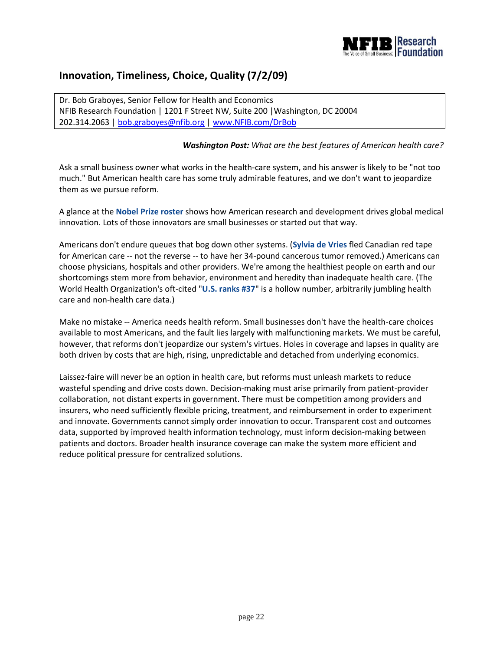

# **Innovation, Timeliness, Choice, Quality (7/2/09)**

Dr. Bob Graboyes, Senior Fellow for Health and Economics NFIB Research Foundation | 1201 F Street NW, Suite 200 |Washington, DC 20004 202.314.2063 | [bob.graboyes@nfib.org](mailto:bob.graboyes@nfib.org) | [www.NFIB.com/DrBob](http://www.nfib.com/DrBob)

*Washington Post: What are the best features of American health care?*

Ask a small business owner what works in the health-care system, and his answer is likely to be "not too much." But American health care has some truly admirable features, and we don't want to jeopardize them as we pursue reform.

A glance at the **[Nobel Prize roster](http://nobelprize.org/nobel_prizes/medicine/laureates/)** shows how American research and development drives global medical innovation. Lots of those innovators are small businesses or started out that way.

Americans don't endure queues that bog down other systems. (**[Sylvia de Vries](http://www2.canada.com/windsorstar/news/local/story.html?id=3ccdf1b2-7409-40d2-8b80-55f3cdc441d0&k=82139)** fled Canadian red tape for American care -- not the reverse -- to have her 34-pound cancerous tumor removed.) Americans can choose physicians, hospitals and other providers. We're among the healthiest people on earth and our shortcomings stem more from behavior, environment and heredity than inadequate health care. (The World Health Organization's oft-cited "**[U.S. ranks #37](http://www.cato.org/pub_display.php?pub_id=9236)**" is a hollow number, arbitrarily jumbling health care and non-health care data.)

Make no mistake -- America needs health reform. Small businesses don't have the health-care choices available to most Americans, and the fault lies largely with malfunctioning markets. We must be careful, however, that reforms don't jeopardize our system's virtues. Holes in coverage and lapses in quality are both driven by costs that are high, rising, unpredictable and detached from underlying economics.

Laissez-faire will never be an option in health care, but reforms must unleash markets to reduce wasteful spending and drive costs down. Decision-making must arise primarily from patient-provider collaboration, not distant experts in government. There must be competition among providers and insurers, who need sufficiently flexible pricing, treatment, and reimbursement in order to experiment and innovate. Governments cannot simply order innovation to occur. Transparent cost and outcomes data, supported by improved health information technology, must inform decision-making between patients and doctors. Broader health insurance coverage can make the system more efficient and reduce political pressure for centralized solutions.